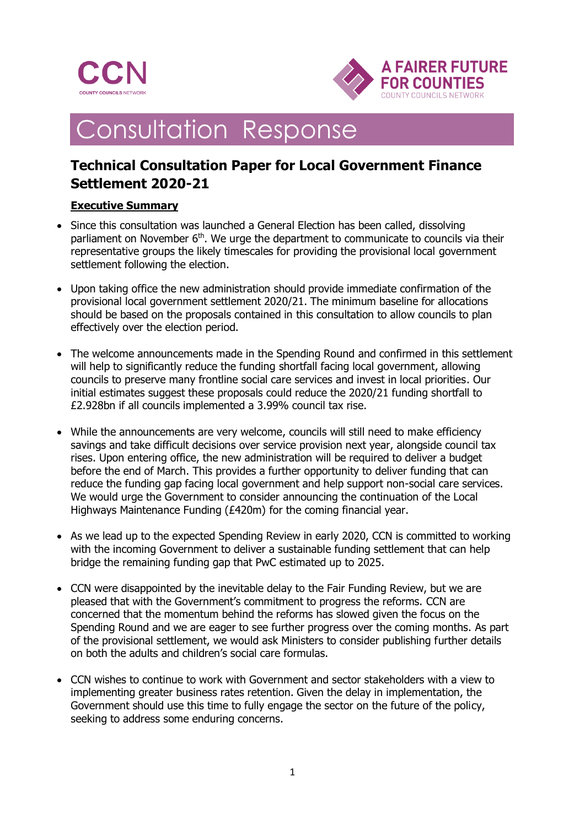



# **Consultation Response**

# **Technical Consultation Paper for Local Government Finance Settlement 2020-21**

### **Executive Summary**

- Since this consultation was launched a General Election has been called, dissolving parliament on November  $6<sup>th</sup>$ . We urge the department to communicate to councils via their representative groups the likely timescales for providing the provisional local government settlement following the election.
- Upon taking office the new administration should provide immediate confirmation of the provisional local government settlement 2020/21. The minimum baseline for allocations should be based on the proposals contained in this consultation to allow councils to plan effectively over the election period.
- The welcome announcements made in the Spending Round and confirmed in this settlement will help to significantly reduce the funding shortfall facing local government, allowing councils to preserve many frontline social care services and invest in local priorities. Our initial estimates suggest these proposals could reduce the 2020/21 funding shortfall to £2.928bn if all councils implemented a 3.99% council tax rise.
- While the announcements are very welcome, councils will still need to make efficiency savings and take difficult decisions over service provision next year, alongside council tax rises. Upon entering office, the new administration will be required to deliver a budget before the end of March. This provides a further opportunity to deliver funding that can reduce the funding gap facing local government and help support non-social care services. We would urge the Government to consider announcing the continuation of the Local Highways Maintenance Funding (£420m) for the coming financial year.
- As we lead up to the expected Spending Review in early 2020, CCN is committed to working with the incoming Government to deliver a sustainable funding settlement that can help bridge the remaining funding gap that PwC estimated up to 2025.
- CCN were disappointed by the inevitable delay to the Fair Funding Review, but we are pleased that with the Government's commitment to progress the reforms. CCN are concerned that the momentum behind the reforms has slowed given the focus on the Spending Round and we are eager to see further progress over the coming months. As part of the provisional settlement, we would ask Ministers to consider publishing further details on both the adults and children's social care formulas.
- CCN wishes to continue to work with Government and sector stakeholders with a view to implementing greater business rates retention. Given the delay in implementation, the Government should use this time to fully engage the sector on the future of the policy, seeking to address some enduring concerns.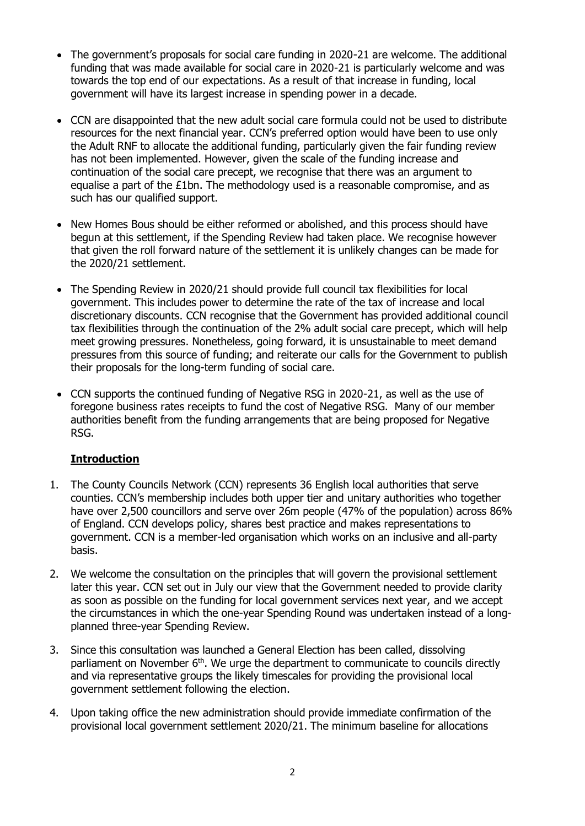- The government's proposals for social care funding in 2020-21 are welcome. The additional funding that was made available for social care in 2020-21 is particularly welcome and was towards the top end of our expectations. As a result of that increase in funding, local government will have its largest increase in spending power in a decade.
- CCN are disappointed that the new adult social care formula could not be used to distribute resources for the next financial year. CCN's preferred option would have been to use only the Adult RNF to allocate the additional funding, particularly given the fair funding review has not been implemented. However, given the scale of the funding increase and continuation of the social care precept, we recognise that there was an argument to equalise a part of the £1bn. The methodology used is a reasonable compromise, and as such has our qualified support.
- New Homes Bous should be either reformed or abolished, and this process should have begun at this settlement, if the Spending Review had taken place. We recognise however that given the roll forward nature of the settlement it is unlikely changes can be made for the 2020/21 settlement.
- The Spending Review in 2020/21 should provide full council tax flexibilities for local government. This includes power to determine the rate of the tax of increase and local discretionary discounts. CCN recognise that the Government has provided additional council tax flexibilities through the continuation of the 2% adult social care precept, which will help meet growing pressures. Nonetheless, going forward, it is unsustainable to meet demand pressures from this source of funding; and reiterate our calls for the Government to publish their proposals for the long-term funding of social care.
- CCN supports the continued funding of Negative RSG in 2020-21, as well as the use of foregone business rates receipts to fund the cost of Negative RSG. Many of our member authorities benefit from the funding arrangements that are being proposed for Negative RSG.

#### **Introduction**

- 1. The County Councils Network (CCN) represents 36 English local authorities that serve counties. CCN's membership includes both upper tier and unitary authorities who together have over 2,500 councillors and serve over 26m people (47% of the population) across 86% of England. CCN develops policy, shares best practice and makes representations to government. CCN is a member-led organisation which works on an inclusive and all-party basis.
- 2. We welcome the consultation on the principles that will govern the provisional settlement later this year. CCN set out in July our view that the Government needed to provide clarity as soon as possible on the funding for local government services next year, and we accept the circumstances in which the one-year Spending Round was undertaken instead of a longplanned three-year Spending Review.
- 3. Since this consultation was launched a General Election has been called, dissolving parliament on November 6<sup>th</sup>. We urge the department to communicate to councils directly and via representative groups the likely timescales for providing the provisional local government settlement following the election.
- 4. Upon taking office the new administration should provide immediate confirmation of the provisional local government settlement 2020/21. The minimum baseline for allocations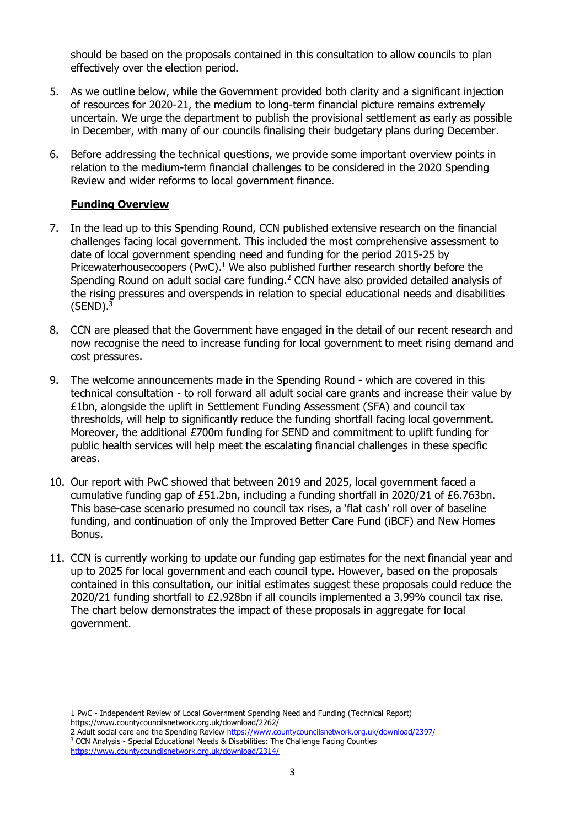should be based on the proposals contained in this consultation to allow councils to plan effectively over the election period.

- 5. As we outline below, while the Government provided both clarity and a significant injection of resources for 2020-21, the medium to long-term financial picture remains extremely uncertain. We urge the department to publish the provisional settlement as early as possible in December, with many of our councils finalising their budgetary plans during December.
- 6. Before addressing the technical questions, we provide some important overview points in relation to the medium-term financial challenges to be considered in the 2020 Spending Review and wider reforms to local government finance.

### **Funding Overview**

- 7. In the lead up to this Spending Round, CCN published extensive research on the financial challenges facing local government. This included the most comprehensive assessment to date of local government spending need and funding for the period 2015-25 by Pricewaterhousecoopers (PwC). $<sup>1</sup>$  We also published further research shortly before the</sup> Spending Round on adult social care funding.<sup>2</sup> CCN have also provided detailed analysis of the rising pressures and overspends in relation to special educational needs and disabilities  $(SEND).<sup>3</sup>$
- 8. CCN are pleased that the Government have engaged in the detail of our recent research and now recognise the need to increase funding for local government to meet rising demand and cost pressures.
- 9. The welcome announcements made in the Spending Round which are covered in this technical consultation - to roll forward all adult social care grants and increase their value by £1bn, alongside the uplift in Settlement Funding Assessment (SFA) and council tax thresholds, will help to significantly reduce the funding shortfall facing local government. Moreover, the additional £700m funding for SEND and commitment to uplift funding for public health services will help meet the escalating financial challenges in these specific areas.
- 10. Our report with PwC showed that between 2019 and 2025, local government faced a cumulative funding gap of £51.2bn, including a funding shortfall in 2020/21 of £6.763bn. This base-case scenario presumed no council tax rises, a 'flat cash' roll over of baseline funding, and continuation of only the Improved Better Care Fund (iBCF) and New Homes Bonus.
- 11. CCN is currently working to update our funding gap estimates for the next financial year and up to 2025 for local government and each council type. However, based on the proposals contained in this consultation, our initial estimates suggest these proposals could reduce the 2020/21 funding shortfall to £2.928bn if all councils implemented a 3.99% council tax rise. The chart below demonstrates the impact of these proposals in aggregate for local government.

<sup>-</sup>1 PwC - Independent Review of Local Government Spending Need and Funding (Technical Report) <https://www.countycouncilsnetwork.org.uk/download/2262/>

<sup>2</sup> Adult social care and the Spending Review<https://www.countycouncilsnetwork.org.uk/download/2397/> <sup>3</sup> CCN Analysis - Special Educational Needs & Disabilities: The Challenge Facing Counties <https://www.countycouncilsnetwork.org.uk/download/2314/>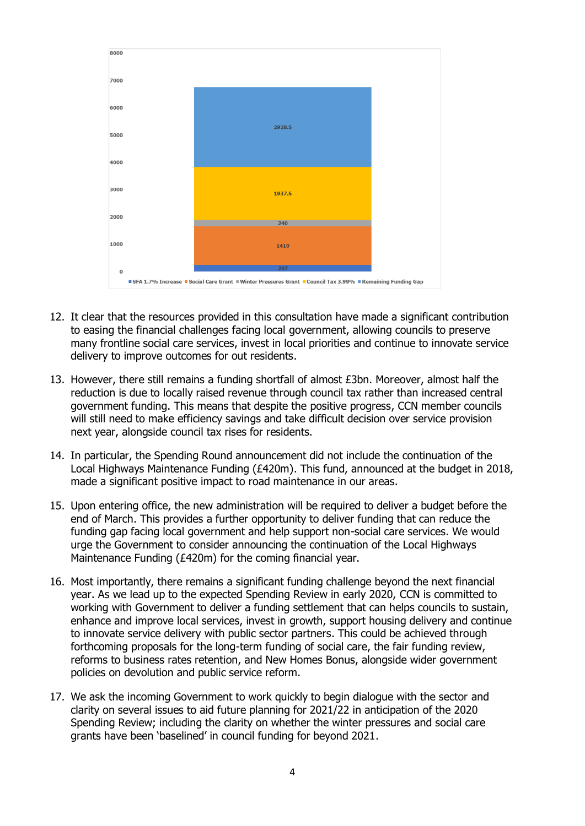

- 12. It clear that the resources provided in this consultation have made a significant contribution to easing the financial challenges facing local government, allowing councils to preserve many frontline social care services, invest in local priorities and continue to innovate service delivery to improve outcomes for out residents.
- 13. However, there still remains a funding shortfall of almost £3bn. Moreover, almost half the reduction is due to locally raised revenue through council tax rather than increased central government funding. This means that despite the positive progress, CCN member councils will still need to make efficiency savings and take difficult decision over service provision next year, alongside council tax rises for residents.
- 14. In particular, the Spending Round announcement did not include the continuation of the Local Highways Maintenance Funding (£420m). This fund, announced at the budget in 2018, made a significant positive impact to road maintenance in our areas.
- 15. Upon entering office, the new administration will be required to deliver a budget before the end of March. This provides a further opportunity to deliver funding that can reduce the funding gap facing local government and help support non-social care services. We would urge the Government to consider announcing the continuation of the Local Highways Maintenance Funding (£420m) for the coming financial year.
- 16. Most importantly, there remains a significant funding challenge beyond the next financial year. As we lead up to the expected Spending Review in early 2020, CCN is committed to working with Government to deliver a funding settlement that can helps councils to sustain, enhance and improve local services, invest in growth, support housing delivery and continue to innovate service delivery with public sector partners. This could be achieved through forthcoming proposals for the long-term funding of social care, the fair funding review, reforms to business rates retention, and New Homes Bonus, alongside wider government policies on devolution and public service reform.
- 17. We ask the incoming Government to work quickly to begin dialogue with the sector and clarity on several issues to aid future planning for 2021/22 in anticipation of the 2020 Spending Review; including the clarity on whether the winter pressures and social care grants have been 'baselined' in council funding for beyond 2021.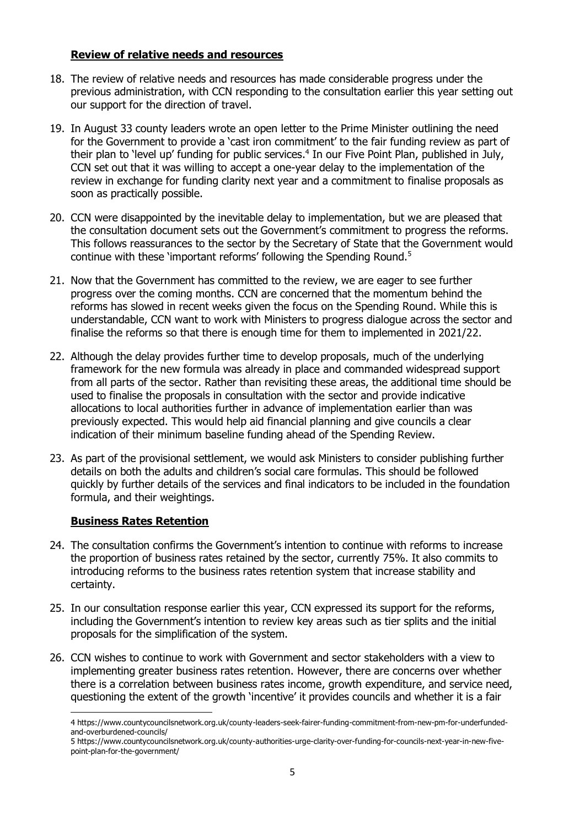#### **Review of relative needs and resources**

- 18. The review of relative needs and resources has made considerable progress under the previous administration, with CCN responding to the consultation earlier this year setting out our support for the direction of travel.
- 19. In August 33 county leaders wrote an open letter to the Prime Minister outlining the need for the Government to provide a 'cast iron commitment' to the fair funding review as part of their plan to 'level up' funding for public services.<sup>4</sup> In our Five Point Plan, published in July, CCN set out that it was willing to accept a one-year delay to the implementation of the review in exchange for funding clarity next year and a commitment to finalise proposals as soon as practically possible.
- 20. CCN were disappointed by the inevitable delay to implementation, but we are pleased that the consultation document sets out the Government's commitment to progress the reforms. This follows reassurances to the sector by the Secretary of State that the Government would continue with these 'important reforms' following the Spending Round.<sup>5</sup>
- 21. Now that the Government has committed to the review, we are eager to see further progress over the coming months. CCN are concerned that the momentum behind the reforms has slowed in recent weeks given the focus on the Spending Round. While this is understandable, CCN want to work with Ministers to progress dialogue across the sector and finalise the reforms so that there is enough time for them to implemented in 2021/22.
- 22. Although the delay provides further time to develop proposals, much of the underlying framework for the new formula was already in place and commanded widespread support from all parts of the sector. Rather than revisiting these areas, the additional time should be used to finalise the proposals in consultation with the sector and provide indicative allocations to local authorities further in advance of implementation earlier than was previously expected. This would help aid financial planning and give councils a clear indication of their minimum baseline funding ahead of the Spending Review.
- 23. As part of the provisional settlement, we would ask Ministers to consider publishing further details on both the adults and children's social care formulas. This should be followed quickly by further details of the services and final indicators to be included in the foundation formula, and their weightings.

#### **Business Rates Retention**

- 24. The consultation confirms the Government's intention to continue with reforms to increase the proportion of business rates retained by the sector, currently 75%. It also commits to introducing reforms to the business rates retention system that increase stability and certainty.
- 25. In our consultation response earlier this year, CCN expressed its support for the reforms, including the Government's intention to review key areas such as tier splits and the initial proposals for the simplification of the system.
- 26. CCN wishes to continue to work with Government and sector stakeholders with a view to implementing greater business rates retention. However, there are concerns over whether there is a correlation between business rates income, growth expenditure, and service need, questioning the extent of the growth 'incentive' it provides councils and whether it is a fair

<sup>1</sup> 4 [https://www.countycouncilsnetwork.org.uk/county-leaders-seek-fairer-funding-commitment-from-new-pm-for-underfunded](https://www.countycouncilsnetwork.org.uk/county-leaders-seek-fairer-funding-commitment-from-new-pm-for-underfunded-and-overburdened-councils/)[and-overburdened-councils/](https://www.countycouncilsnetwork.org.uk/county-leaders-seek-fairer-funding-commitment-from-new-pm-for-underfunded-and-overburdened-councils/)

<sup>5</sup> [https://www.countycouncilsnetwork.org.uk/county-authorities-urge-clarity-over-funding-for-councils-next-year-in-new-five](https://www.countycouncilsnetwork.org.uk/county-authorities-urge-clarity-over-funding-for-councils-next-year-in-new-five-point-plan-for-the-government/)[point-plan-for-the-government/](https://www.countycouncilsnetwork.org.uk/county-authorities-urge-clarity-over-funding-for-councils-next-year-in-new-five-point-plan-for-the-government/)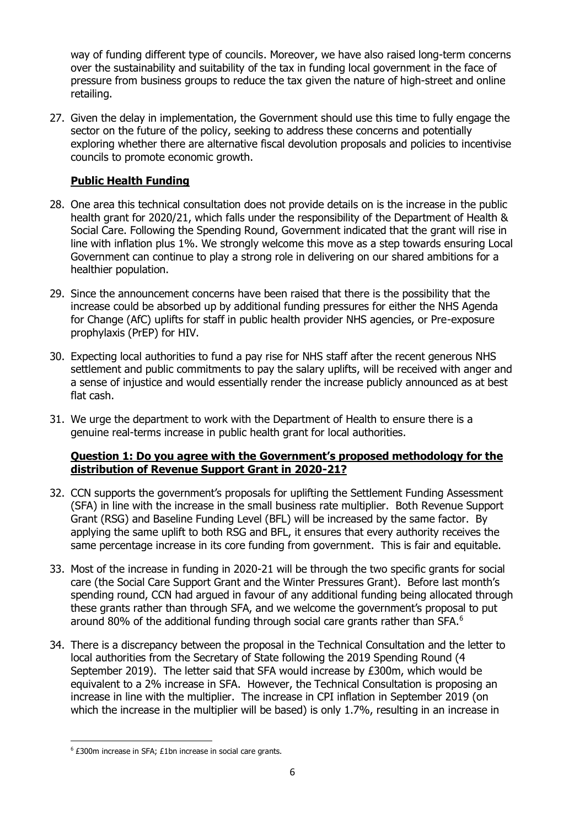way of funding different type of councils. Moreover, we have also raised long-term concerns over the sustainability and suitability of the tax in funding local government in the face of pressure from business groups to reduce the tax given the nature of high-street and online retailing.

27. Given the delay in implementation, the Government should use this time to fully engage the sector on the future of the policy, seeking to address these concerns and potentially exploring whether there are alternative fiscal devolution proposals and policies to incentivise councils to promote economic growth.

# **Public Health Funding**

- 28. One area this technical consultation does not provide details on is the increase in the public health grant for 2020/21, which falls under the responsibility of the Department of Health & Social Care. Following the Spending Round, Government indicated that the grant will rise in line with inflation plus 1%. We strongly welcome this move as a step towards ensuring Local Government can continue to play a strong role in delivering on our shared ambitions for a healthier population.
- 29. Since the announcement concerns have been raised that there is the possibility that the increase could be absorbed up by additional funding pressures for either the NHS Agenda for Change (AfC) uplifts for staff in public health provider NHS agencies, or Pre-exposure prophylaxis (PrEP) for HIV.
- 30. Expecting local authorities to fund a pay rise for NHS staff after the recent generous NHS settlement and public commitments to pay the salary uplifts, will be received with anger and a sense of injustice and would essentially render the increase publicly announced as at best flat cash.
- 31. We urge the department to work with the Department of Health to ensure there is a genuine real-terms increase in public health grant for local authorities.

## **Question 1: Do you agree with the Government's proposed methodology for the distribution of Revenue Support Grant in 2020-21?**

- 32. CCN supports the government's proposals for uplifting the Settlement Funding Assessment (SFA) in line with the increase in the small business rate multiplier. Both Revenue Support Grant (RSG) and Baseline Funding Level (BFL) will be increased by the same factor. By applying the same uplift to both RSG and BFL, it ensures that every authority receives the same percentage increase in its core funding from government. This is fair and equitable.
- 33. Most of the increase in funding in 2020-21 will be through the two specific grants for social care (the Social Care Support Grant and the Winter Pressures Grant). Before last month's spending round, CCN had argued in favour of any additional funding being allocated through these grants rather than through SFA, and we welcome the government's proposal to put around 80% of the additional funding through social care grants rather than SFA. $6$
- 34. There is a discrepancy between the proposal in the Technical Consultation and the letter to local authorities from the Secretary of State following the 2019 Spending Round (4 September 2019). The letter said that SFA would increase by £300m, which would be equivalent to a 2% increase in SFA. However, the Technical Consultation is proposing an increase in line with the multiplier. The increase in CPI inflation in September 2019 (on which the increase in the multiplier will be based) is only 1.7%, resulting in an increase in

-

<sup>6</sup> £300m increase in SFA; £1bn increase in social care grants.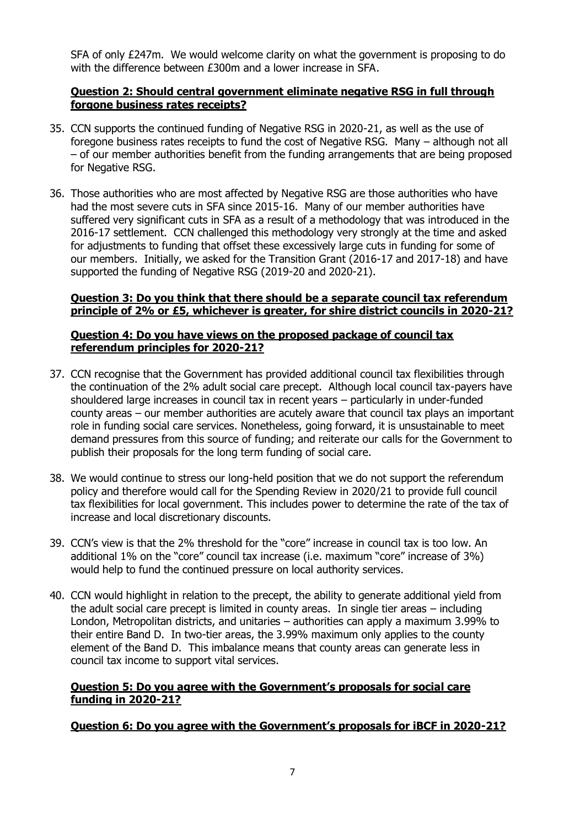SFA of only £247m. We would welcome clarity on what the government is proposing to do with the difference between £300m and a lower increase in SFA.

#### **Question 2: Should central government eliminate negative RSG in full through forgone business rates receipts?**

- 35. CCN supports the continued funding of Negative RSG in 2020-21, as well as the use of foregone business rates receipts to fund the cost of Negative RSG. Many – although not all – of our member authorities benefit from the funding arrangements that are being proposed for Negative RSG.
- 36. Those authorities who are most affected by Negative RSG are those authorities who have had the most severe cuts in SFA since 2015-16. Many of our member authorities have suffered very significant cuts in SFA as a result of a methodology that was introduced in the 2016-17 settlement. CCN challenged this methodology very strongly at the time and asked for adjustments to funding that offset these excessively large cuts in funding for some of our members. Initially, we asked for the Transition Grant (2016-17 and 2017-18) and have supported the funding of Negative RSG (2019-20 and 2020-21).

#### **Question 3: Do you think that there should be a separate council tax referendum principle of 2% or £5, whichever is greater, for shire district councils in 2020-21?**

#### **Question 4: Do you have views on the proposed package of council tax referendum principles for 2020-21?**

- 37. CCN recognise that the Government has provided additional council tax flexibilities through the continuation of the 2% adult social care precept. Although local council tax-payers have shouldered large increases in council tax in recent years – particularly in under-funded county areas – our member authorities are acutely aware that council tax plays an important role in funding social care services. Nonetheless, going forward, it is unsustainable to meet demand pressures from this source of funding; and reiterate our calls for the Government to publish their proposals for the long term funding of social care.
- 38. We would continue to stress our long-held position that we do not support the referendum policy and therefore would call for the Spending Review in 2020/21 to provide full council tax flexibilities for local government. This includes power to determine the rate of the tax of increase and local discretionary discounts.
- 39. CCN's view is that the 2% threshold for the "core" increase in council tax is too low. An additional 1% on the "core" council tax increase (i.e. maximum "core" increase of 3%) would help to fund the continued pressure on local authority services.
- 40. CCN would highlight in relation to the precept, the ability to generate additional yield from the adult social care precept is limited in county areas. In single tier areas – including London, Metropolitan districts, and unitaries – authorities can apply a maximum 3.99% to their entire Band D. In two-tier areas, the 3.99% maximum only applies to the county element of the Band D. This imbalance means that county areas can generate less in council tax income to support vital services.

#### **Question 5: Do you agree with the Government's proposals for social care funding in 2020-21?**

#### **Question 6: Do you agree with the Government's proposals for iBCF in 2020-21?**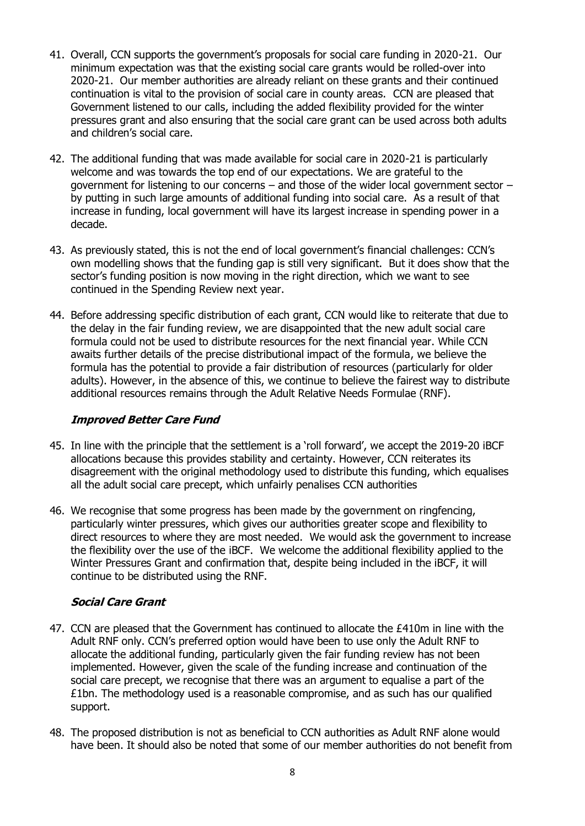- 41. Overall, CCN supports the government's proposals for social care funding in 2020-21. Our minimum expectation was that the existing social care grants would be rolled-over into 2020-21. Our member authorities are already reliant on these grants and their continued continuation is vital to the provision of social care in county areas. CCN are pleased that Government listened to our calls, including the added flexibility provided for the winter pressures grant and also ensuring that the social care grant can be used across both adults and children's social care.
- 42. The additional funding that was made available for social care in 2020-21 is particularly welcome and was towards the top end of our expectations. We are grateful to the government for listening to our concerns – and those of the wider local government sector – by putting in such large amounts of additional funding into social care. As a result of that increase in funding, local government will have its largest increase in spending power in a decade.
- 43. As previously stated, this is not the end of local government's financial challenges: CCN's own modelling shows that the funding gap is still very significant. But it does show that the sector's funding position is now moving in the right direction, which we want to see continued in the Spending Review next year.
- 44. Before addressing specific distribution of each grant, CCN would like to reiterate that due to the delay in the fair funding review, we are disappointed that the new adult social care formula could not be used to distribute resources for the next financial year. While CCN awaits further details of the precise distributional impact of the formula, we believe the formula has the potential to provide a fair distribution of resources (particularly for older adults). However, in the absence of this, we continue to believe the fairest way to distribute additional resources remains through the Adult Relative Needs Formulae (RNF).

#### **Improved Better Care Fund**

- 45. In line with the principle that the settlement is a 'roll forward', we accept the 2019-20 iBCF allocations because this provides stability and certainty. However, CCN reiterates its disagreement with the original methodology used to distribute this funding, which equalises all the adult social care precept, which unfairly penalises CCN authorities
- 46. We recognise that some progress has been made by the government on ringfencing, particularly winter pressures, which gives our authorities greater scope and flexibility to direct resources to where they are most needed. We would ask the government to increase the flexibility over the use of the iBCF. We welcome the additional flexibility applied to the Winter Pressures Grant and confirmation that, despite being included in the iBCF, it will continue to be distributed using the RNF.

# **Social Care Grant**

- 47. CCN are pleased that the Government has continued to allocate the £410m in line with the Adult RNF only. CCN's preferred option would have been to use only the Adult RNF to allocate the additional funding, particularly given the fair funding review has not been implemented. However, given the scale of the funding increase and continuation of the social care precept, we recognise that there was an argument to equalise a part of the £1bn. The methodology used is a reasonable compromise, and as such has our qualified support.
- 48. The proposed distribution is not as beneficial to CCN authorities as Adult RNF alone would have been. It should also be noted that some of our member authorities do not benefit from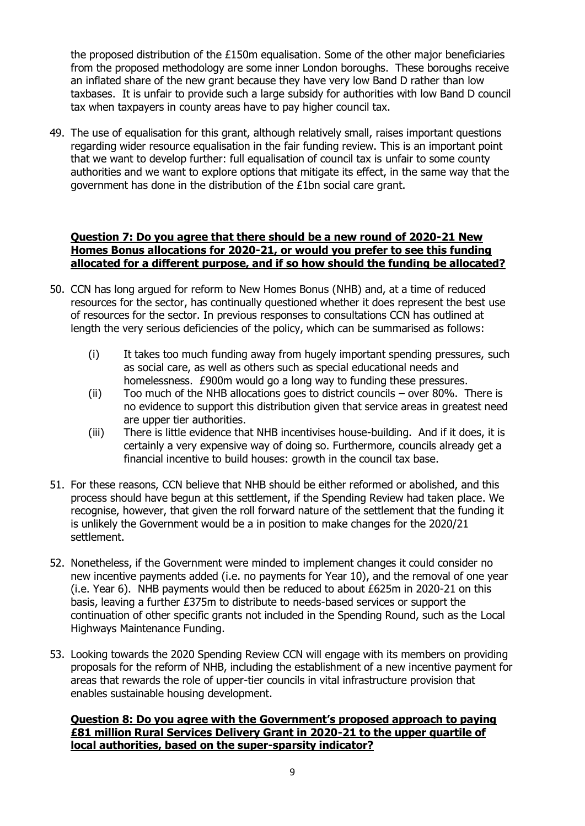the proposed distribution of the  $£150m$  equalisation. Some of the other major beneficiaries from the proposed methodology are some inner London boroughs. These boroughs receive an inflated share of the new grant because they have very low Band D rather than low taxbases. It is unfair to provide such a large subsidy for authorities with low Band D council tax when taxpayers in county areas have to pay higher council tax.

49. The use of equalisation for this grant, although relatively small, raises important questions regarding wider resource equalisation in the fair funding review. This is an important point that we want to develop further: full equalisation of council tax is unfair to some county authorities and we want to explore options that mitigate its effect, in the same way that the government has done in the distribution of the £1bn social care grant.

#### **Question 7: Do you agree that there should be a new round of 2020-21 New Homes Bonus allocations for 2020-21, or would you prefer to see this funding allocated for a different purpose, and if so how should the funding be allocated?**

- 50. CCN has long argued for reform to New Homes Bonus (NHB) and, at a time of reduced resources for the sector, has continually questioned whether it does represent the best use of resources for the sector. In previous responses to consultations CCN has outlined at length the very serious deficiencies of the policy, which can be summarised as follows:
	- (i) It takes too much funding away from hugely important spending pressures, such as social care, as well as others such as special educational needs and homelessness. £900m would go a long way to funding these pressures.
	- (ii) Too much of the NHB allocations goes to district councils over 80%. There is no evidence to support this distribution given that service areas in greatest need are upper tier authorities.
	- (iii) There is little evidence that NHB incentivises house-building. And if it does, it is certainly a very expensive way of doing so. Furthermore, councils already get a financial incentive to build houses: growth in the council tax base.
- 51. For these reasons, CCN believe that NHB should be either reformed or abolished, and this process should have begun at this settlement, if the Spending Review had taken place. We recognise, however, that given the roll forward nature of the settlement that the funding it is unlikely the Government would be a in position to make changes for the 2020/21 settlement.
- 52. Nonetheless, if the Government were minded to implement changes it could consider no new incentive payments added (i.e. no payments for Year 10), and the removal of one year (i.e. Year 6). NHB payments would then be reduced to about £625m in 2020-21 on this basis, leaving a further £375m to distribute to needs-based services or support the continuation of other specific grants not included in the Spending Round, such as the Local Highways Maintenance Funding.
- 53. Looking towards the 2020 Spending Review CCN will engage with its members on providing proposals for the reform of NHB, including the establishment of a new incentive payment for areas that rewards the role of upper-tier councils in vital infrastructure provision that enables sustainable housing development.

#### **Question 8: Do you agree with the Government's proposed approach to paying £81 million Rural Services Delivery Grant in 2020-21 to the upper quartile of local authorities, based on the super-sparsity indicator?**